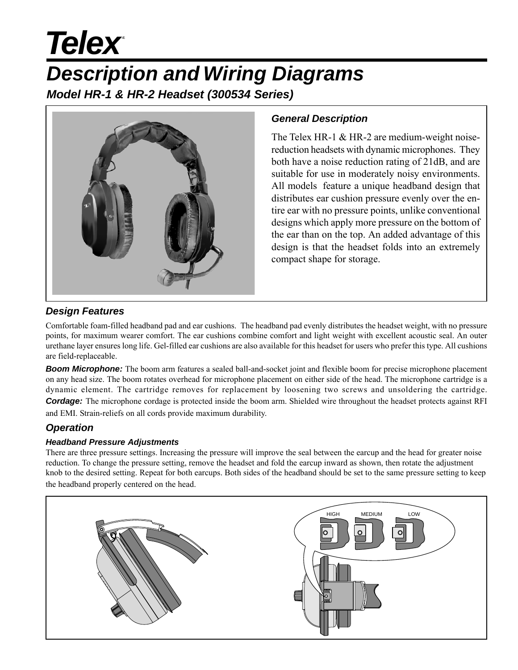# **Telex**

## *Description and Wiring Diagrams*

*Model HR-1 & HR-2 Headset (300534 Series)*



#### *General Description*

The Telex HR-1 & HR-2 are medium-weight noisereduction headsets with dynamic microphones. They both have a noise reduction rating of 21dB, and are suitable for use in moderately noisy environments. All models feature a unique headband design that distributes ear cushion pressure evenly over the entire ear with no pressure points, unlike conventional designs which apply more pressure on the bottom of the ear than on the top. An added advantage of this design is that the headset folds into an extremely compact shape for storage.

### *Design Features*

Comfortable foam-filled headband pad and ear cushions. The headband pad evenly distributes the headset weight, with no pressure points, for maximum wearer comfort. The ear cushions combine comfort and light weight with excellent acoustic seal. An outer urethane layer ensures long life. Gel-filled ear cushions are also available for this headset for users who prefer this type. All cushions are field-replaceable.

**Boom Microphone:** The boom arm features a sealed ball-and-socket joint and flexible boom for precise microphone placement on any head size. The boom rotates overhead for microphone placement on either side of the head. The microphone cartridge is a dynamic element. The cartridge removes for replacement by loosening two screws and unsoldering the cartridge. *Cordage:* The microphone cordage is protected inside the boom arm. Shielded wire throughout the headset protects against RFI

and EMI. Strain-reliefs on all cords provide maximum durability.

### *Operation*

#### *Headband Pressure Adjustments*

There are three pressure settings. Increasing the pressure will improve the seal between the earcup and the head for greater noise reduction. To change the pressure setting, remove the headset and fold the earcup inward as shown, then rotate the adjustment knob to the desired setting. Repeat for both earcups. Both sides of the headband should be set to the same pressure setting to keep the headband properly centered on the head.